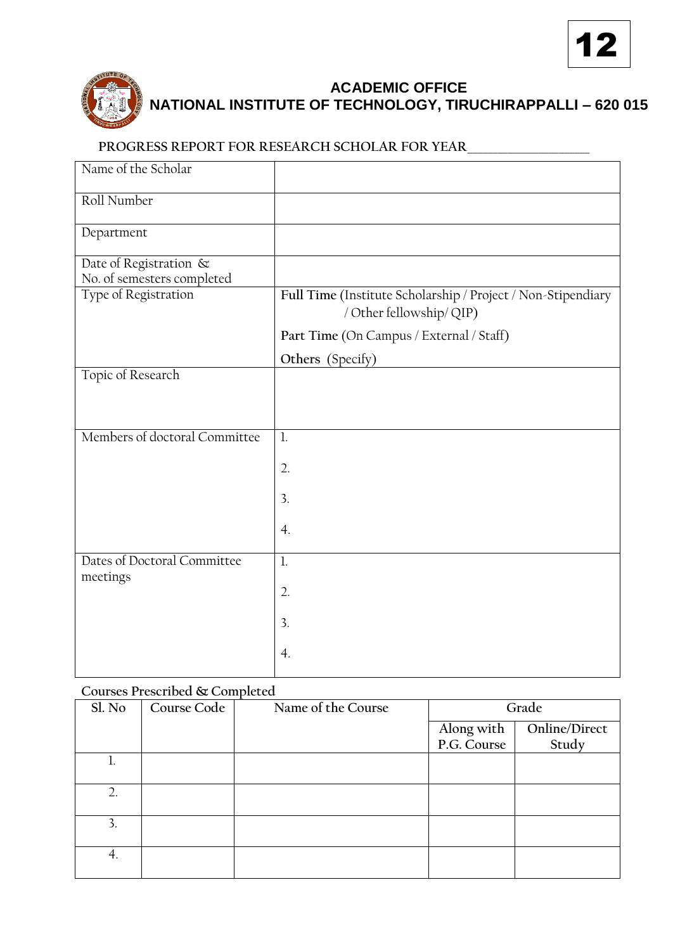



## **ACADEMIC OFFICE NATIONAL INSTITUTE OF TECHNOLOGY, TIRUCHIRAPPALLI – 620 015**

## **PROGRESS REPORT FOR RESEARCH SCHOLAR FOR YEAR**\_\_\_\_\_\_\_\_\_\_\_\_\_\_\_\_\_\_\_\_\_\_\_\_

| Name of the Scholar                                  |                                                                                          |
|------------------------------------------------------|------------------------------------------------------------------------------------------|
| Roll Number                                          |                                                                                          |
| Department                                           |                                                                                          |
| Date of Registration &<br>No. of semesters completed |                                                                                          |
| Type of Registration                                 | Full Time (Institute Scholarship / Project / Non-Stipendiary<br>/ Other fellowship/ QIP) |
|                                                      | Part Time (On Campus / External / Staff)                                                 |
|                                                      | Others (Specify)                                                                         |
| Topic of Research                                    |                                                                                          |
| Members of doctoral Committee                        | $\mathbf{l}$ .                                                                           |
|                                                      | 2.                                                                                       |
|                                                      | 3.                                                                                       |
|                                                      | $\overline{4}$ .                                                                         |
| Dates of Doctoral Committee<br>meetings              | $\mathbf{1}$                                                                             |
|                                                      | 2.                                                                                       |
|                                                      | 3.                                                                                       |
|                                                      | 4.                                                                                       |

## **Courses Prescribed & Completed**

| Sl. No           | Course Code | Name of the Course | Grade       |               |
|------------------|-------------|--------------------|-------------|---------------|
|                  |             |                    | Along with  | Online/Direct |
|                  |             |                    | P.G. Course | Study         |
|                  |             |                    |             |               |
| $\overline{2}$ . |             |                    |             |               |
| 3.               |             |                    |             |               |
| 4.               |             |                    |             |               |